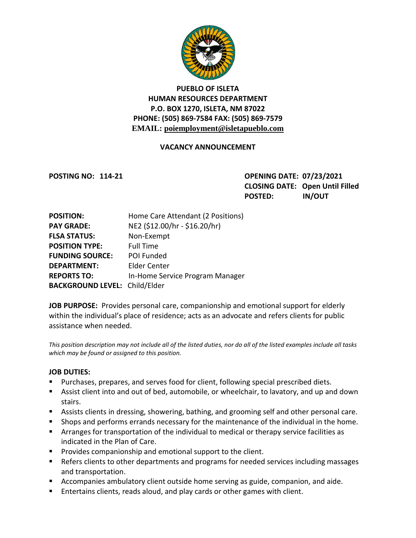

# **PUEBLO OF ISLETA HUMAN RESOURCES DEPARTMENT P.O. BOX 1270, ISLETA, NM 87022 PHONE: (505) 869-7584 FAX: (505) 869-7579 EMAIL: poiemployment@isletapueblo.com**

#### **VACANCY ANNOUNCEMENT**

**POSTING NO: 114-21 OPENING DATE: 07/23/2021 CLOSING DATE: Open Until Filled POSTED: IN/OUT**

| <b>POSITION:</b>                     | Home Care Attendant (2 Positions) |
|--------------------------------------|-----------------------------------|
| <b>PAY GRADE:</b>                    | NE2 (\$12.00/hr - \$16.20/hr)     |
| <b>FLSA STATUS:</b>                  | Non-Exempt                        |
| <b>POSITION TYPE:</b>                | <b>Full Time</b>                  |
| <b>FUNDING SOURCE:</b>               | <b>POI Funded</b>                 |
| <b>DEPARTMENT:</b>                   | <b>Elder Center</b>               |
| <b>REPORTS TO:</b>                   | In-Home Service Program Manager   |
| <b>BACKGROUND LEVEL: Child/Elder</b> |                                   |

**JOB PURPOSE:** Provides personal care, companionship and emotional support for elderly within the individual's place of residence; acts as an advocate and refers clients for public assistance when needed.

*This position description may not include all of the listed duties, nor do all of the listed examples include all tasks which may be found or assigned to this position.*

#### **JOB DUTIES:**

- Purchases, prepares, and serves food for client, following special prescribed diets.
- Assist client into and out of bed, automobile, or wheelchair, to lavatory, and up and down stairs.
- Assists clients in dressing, showering, bathing, and grooming self and other personal care.
- **Shops and performs errands necessary for the maintenance of the individual in the home.**
- Arranges for transportation of the individual to medical or therapy service facilities as indicated in the Plan of Care.
- **Provides companionship and emotional support to the client.**
- **EXEL A** Refers clients to other departments and programs for needed services including massages and transportation.
- **E** Accompanies ambulatory client outside home serving as guide, companion, and aide.
- **E** Entertains clients, reads aloud, and play cards or other games with client.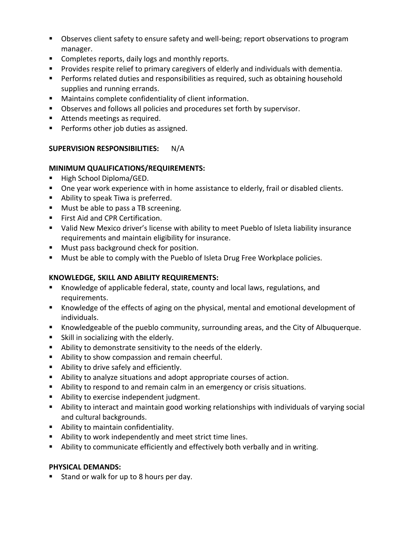- **DIM** Observes client safety to ensure safety and well-being; report observations to program manager.
- **E** Completes reports, daily logs and monthly reports.
- Provides respite relief to primary caregivers of elderly and individuals with dementia.
- **Performs related duties and responsibilities as required, such as obtaining household** supplies and running errands.
- Maintains complete confidentiality of client information.
- **D**bserves and follows all policies and procedures set forth by supervisor.
- Attends meetings as required.
- **Performs other job duties as assigned.**

## **SUPERVISION RESPONSIBILITIES:** N/A

## **MINIMUM QUALIFICATIONS/REQUIREMENTS:**

- High School Diploma/GED.
- **Diamage 1** One year work experience with in home assistance to elderly, frail or disabled clients.
- Ability to speak Tiwa is preferred.
- **Must be able to pass a TB screening.**
- **First Aid and CPR Certification.**
- Valid New Mexico driver's license with ability to meet Pueblo of Isleta liability insurance requirements and maintain eligibility for insurance.
- **Must pass background check for position.**
- **Must be able to comply with the Pueblo of Isleta Drug Free Workplace policies.**

## **KNOWLEDGE, SKILL AND ABILITY REQUIREMENTS:**

- Knowledge of applicable federal, state, county and local laws, regulations, and requirements.
- Knowledge of the effects of aging on the physical, mental and emotional development of individuals.
- Knowledgeable of the pueblo community, surrounding areas, and the City of Albuquerque.
- **Skill in socializing with the elderly.**
- Ability to demonstrate sensitivity to the needs of the elderly.
- Ability to show compassion and remain cheerful.
- Ability to drive safely and efficiently.
- Ability to analyze situations and adopt appropriate courses of action.
- Ability to respond to and remain calm in an emergency or crisis situations.
- **Ability to exercise independent judgment.**
- Ability to interact and maintain good working relationships with individuals of varying social and cultural backgrounds.
- **Ability to maintain confidentiality.**
- Ability to work independently and meet strict time lines.
- Ability to communicate efficiently and effectively both verbally and in writing.

## **PHYSICAL DEMANDS:**

Stand or walk for up to 8 hours per day.